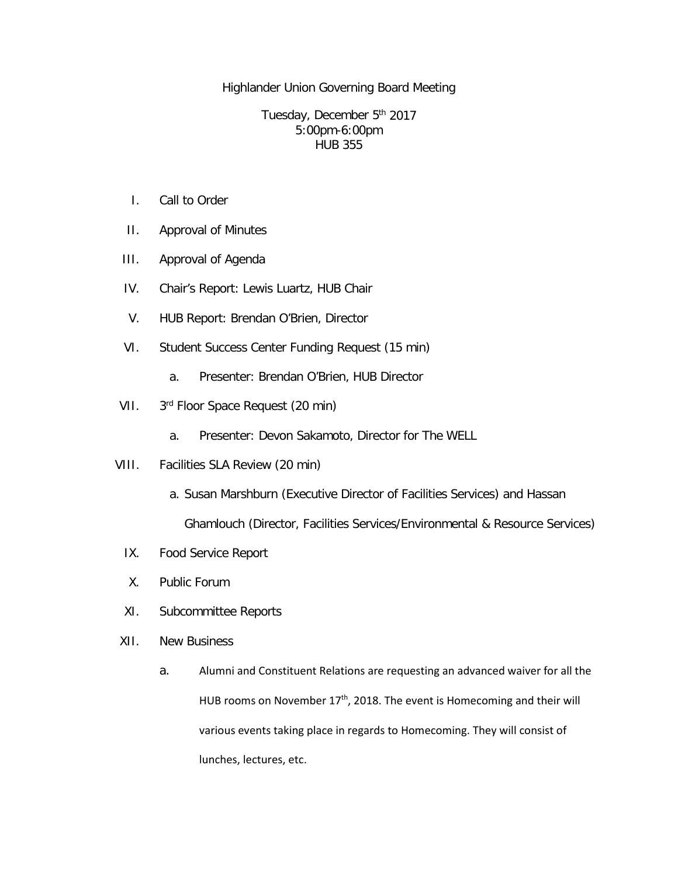Highlander Union Governing Board Meeting

Tuesday, December 5<sup>th</sup> 2017 5:00pm-6:00pm HUB 355

- I. Call to Order
- II. Approval of Minutes
- III. Approval of Agenda
- IV. Chair's Report: Lewis Luartz, HUB Chair
- V. HUB Report: Brendan O'Brien, Director
- VI. Student Success Center Funding Request (15 min)
	- a. Presenter: Brendan O'Brien, HUB Director
- VII. 3<sup>rd</sup> Floor Space Request (20 min)
	- a. Presenter: Devon Sakamoto, Director for The WELL
- VIII. Facilities SLA Review (20 min)
	- a. Susan Marshburn (Executive Director of Facilities Services) and Hassan Ghamlouch (Director, Facilities Services/Environmental & Resource Services)
	- IX. Food Service Report
	- X. Public Forum
	- XI. Subcommittee Reports
- XII. New Business
	- a. Alumni and Constituent Relations are requesting an advanced waiver for all the HUB rooms on November  $17<sup>th</sup>$ , 2018. The event is Homecoming and their will various events taking place in regards to Homecoming. They will consist of lunches, lectures, etc.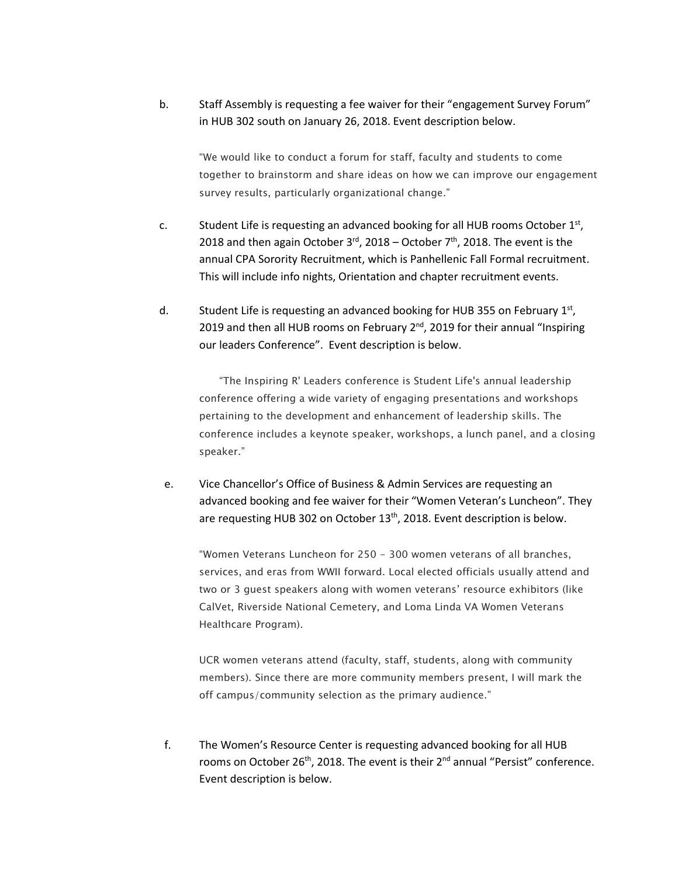b. Staff Assembly is requesting a fee waiver for their "engagement Survey Forum" in HUB 302 south on January 26, 2018. Event description below.

"We would like to conduct a forum for staff, faculty and students to come together to brainstorm and share ideas on how we can improve our engagement survey results, particularly organizational change."

- c. Student Life is requesting an advanced booking for all HUB rooms October 1st, 2018 and then again October  $3^{rd}$ , 2018 – October  $7^{th}$ , 2018. The event is the annual CPA Sorority Recruitment, which is Panhellenic Fall Formal recruitment. This will include info nights, Orientation and chapter recruitment events.
- d. Student Life is requesting an advanced booking for HUB 355 on February 1st, 2019 and then all HUB rooms on February 2<sup>nd</sup>, 2019 for their annual "Inspiring our leaders Conference". Event description is below.

"The Inspiring R' Leaders conference is Student Life's annual leadership conference offering a wide variety of engaging presentations and workshops pertaining to the development and enhancement of leadership skills. The conference includes a keynote speaker, workshops, a lunch panel, and a closing speaker."

e. Vice Chancellor's Office of Business & Admin Services are requesting an advanced booking and fee waiver for their "Women Veteran's Luncheon". They are requesting HUB 302 on October 13<sup>th</sup>, 2018. Event description is below.

"Women Veterans Luncheon for 250 - 300 women veterans of all branches, services, and eras from WWII forward. Local elected officials usually attend and two or 3 guest speakers along with women veterans' resource exhibitors (like CalVet, Riverside National Cemetery, and Loma Linda VA Women Veterans Healthcare Program).

UCR women veterans attend (faculty, staff, students, along with community members). Since there are more community members present, I will mark the off campus/community selection as the primary audience."

f. The Women's Resource Center is requesting advanced booking for all HUB rooms on October 26<sup>th</sup>, 2018. The event is their 2<sup>nd</sup> annual "Persist" conference. Event description is below.